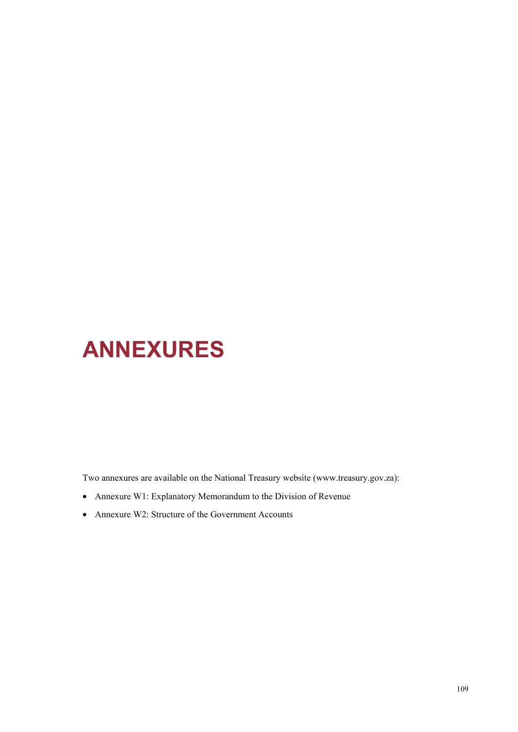# **ANNEXURES**

Two annexures are available on the National Treasury website (www.treasury.gov.za):

- Annexure W1: Explanatory Memorandum to the Division of Revenue
- Annexure W2: Structure of the Government Accounts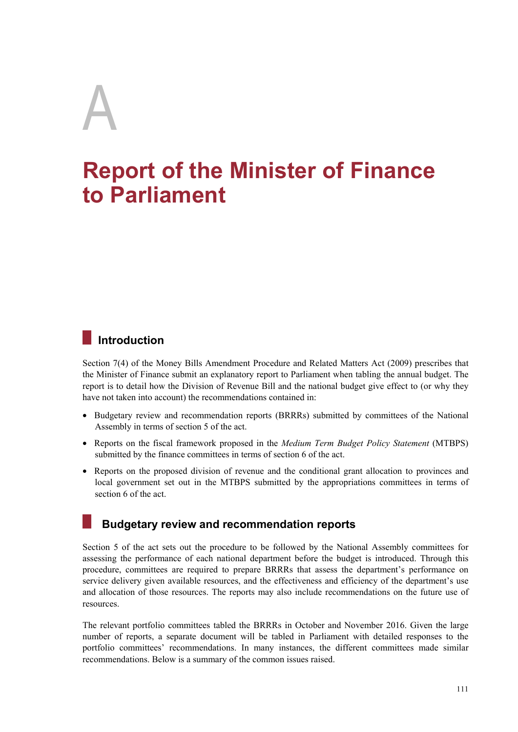# A

# **Report of the Minister of Finance to Parliament**

# **Introduction**

Section 7(4) of the Money Bills Amendment Procedure and Related Matters Act (2009) prescribes that the Minister of Finance submit an explanatory report to Parliament when tabling the annual budget. The report is to detail how the Division of Revenue Bill and the national budget give effect to (or why they have not taken into account) the recommendations contained in:

- Budgetary review and recommendation reports (BRRRs) submitted by committees of the National Assembly in terms of section 5 of the act.
- Reports on the fiscal framework proposed in the *Medium Term Budget Policy Statement* (MTBPS) submitted by the finance committees in terms of section 6 of the act.
- Reports on the proposed division of revenue and the conditional grant allocation to provinces and local government set out in the MTBPS submitted by the appropriations committees in terms of section 6 of the act.

# **Budgetary review and recommendation reports**

Section 5 of the act sets out the procedure to be followed by the National Assembly committees for assessing the performance of each national department before the budget is introduced. Through this procedure, committees are required to prepare BRRRs that assess the department's performance on service delivery given available resources, and the effectiveness and efficiency of the department's use and allocation of those resources. The reports may also include recommendations on the future use of resources.

The relevant portfolio committees tabled the BRRRs in October and November 2016. Given the large number of reports, a separate document will be tabled in Parliament with detailed responses to the portfolio committees' recommendations. In many instances, the different committees made similar recommendations. Below is a summary of the common issues raised.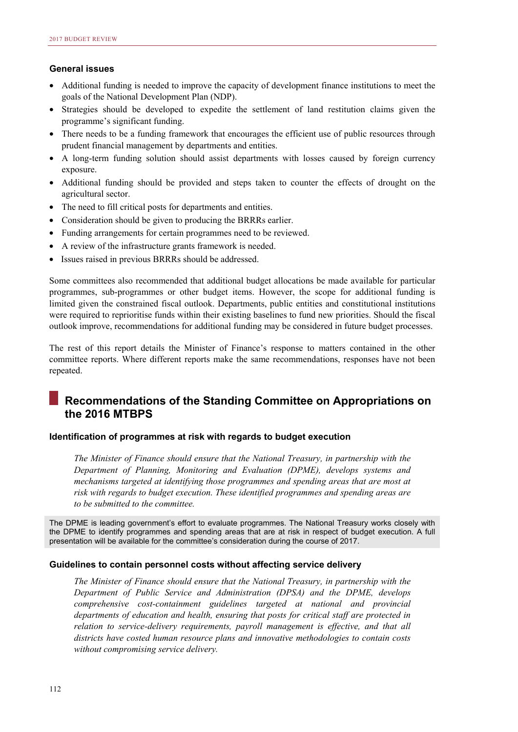# **General issues**

- Additional funding is needed to improve the capacity of development finance institutions to meet the goals of the National Development Plan (NDP).
- Strategies should be developed to expedite the settlement of land restitution claims given the programme's significant funding.
- There needs to be a funding framework that encourages the efficient use of public resources through prudent financial management by departments and entities.
- A long-term funding solution should assist departments with losses caused by foreign currency exposure.
- Additional funding should be provided and steps taken to counter the effects of drought on the agricultural sector.
- The need to fill critical posts for departments and entities.
- Consideration should be given to producing the BRRRs earlier.
- Funding arrangements for certain programmes need to be reviewed.
- A review of the infrastructure grants framework is needed.
- Issues raised in previous BRRRs should be addressed.

Some committees also recommended that additional budget allocations be made available for particular programmes, sub-programmes or other budget items. However, the scope for additional funding is limited given the constrained fiscal outlook. Departments, public entities and constitutional institutions were required to reprioritise funds within their existing baselines to fund new priorities. Should the fiscal outlook improve, recommendations for additional funding may be considered in future budget processes.

The rest of this report details the Minister of Finance's response to matters contained in the other committee reports. Where different reports make the same recommendations, responses have not been repeated.

# **Recommendations of the Standing Committee on Appropriations on the 2016 MTBPS**

# **Identification of programmes at risk with regards to budget execution**

*The Minister of Finance should ensure that the National Treasury, in partnership with the Department of Planning, Monitoring and Evaluation (DPME), develops systems and mechanisms targeted at identifying those programmes and spending areas that are most at risk with regards to budget execution. These identified programmes and spending areas are to be submitted to the committee.* 

The DPME is leading government's effort to evaluate programmes. The National Treasury works closely with the DPME to identify programmes and spending areas that are at risk in respect of budget execution. A full presentation will be available for the committee's consideration during the course of 2017.

# **Guidelines to contain personnel costs without affecting service delivery**

*The Minister of Finance should ensure that the National Treasury, in partnership with the Department of Public Service and Administration (DPSA) and the DPME, develops comprehensive cost-containment guidelines targeted at national and provincial departments of education and health, ensuring that posts for critical staff are protected in relation to service-delivery requirements, payroll management is effective, and that all districts have costed human resource plans and innovative methodologies to contain costs without compromising service delivery.*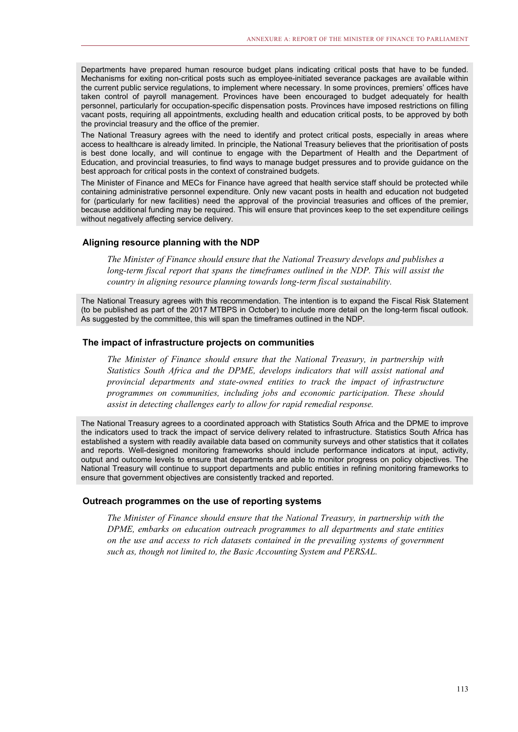Departments have prepared human resource budget plans indicating critical posts that have to be funded. Mechanisms for exiting non-critical posts such as employee-initiated severance packages are available within the current public service regulations, to implement where necessary. In some provinces, premiers' offices have taken control of payroll management. Provinces have been encouraged to budget adequately for health personnel, particularly for occupation-specific dispensation posts. Provinces have imposed restrictions on filling vacant posts, requiring all appointments, excluding health and education critical posts, to be approved by both the provincial treasury and the office of the premier.

The National Treasury agrees with the need to identify and protect critical posts, especially in areas where access to healthcare is already limited. In principle, the National Treasury believes that the prioritisation of posts is best done locally, and will continue to engage with the Department of Health and the Department of Education, and provincial treasuries, to find ways to manage budget pressures and to provide guidance on the best approach for critical posts in the context of constrained budgets.

The Minister of Finance and MECs for Finance have agreed that health service staff should be protected while containing administrative personnel expenditure. Only new vacant posts in health and education not budgeted for (particularly for new facilities) need the approval of the provincial treasuries and offices of the premier, because additional funding may be required. This will ensure that provinces keep to the set expenditure ceilings without negatively affecting service delivery.

# **Aligning resource planning with the NDP**

*The Minister of Finance should ensure that the National Treasury develops and publishes a*  long-term fiscal report that spans the timeframes outlined in the NDP. This will assist the *country in aligning resource planning towards long-term fiscal sustainability.* 

The National Treasury agrees with this recommendation. The intention is to expand the Fiscal Risk Statement (to be published as part of the 2017 MTBPS in October) to include more detail on the long-term fiscal outlook. As suggested by the committee, this will span the timeframes outlined in the NDP.

# **The impact of infrastructure projects on communities**

*The Minister of Finance should ensure that the National Treasury, in partnership with Statistics South Africa and the DPME, develops indicators that will assist national and provincial departments and state-owned entities to track the impact of infrastructure programmes on communities, including jobs and economic participation. These should assist in detecting challenges early to allow for rapid remedial response.*

The National Treasury agrees to a coordinated approach with Statistics South Africa and the DPME to improve the indicators used to track the impact of service delivery related to infrastructure. Statistics South Africa has established a system with readily available data based on community surveys and other statistics that it collates and reports. Well-designed monitoring frameworks should include performance indicators at input, activity, output and outcome levels to ensure that departments are able to monitor progress on policy objectives. The National Treasury will continue to support departments and public entities in refining monitoring frameworks to ensure that government objectives are consistently tracked and reported.

# **Outreach programmes on the use of reporting systems**

*The Minister of Finance should ensure that the National Treasury, in partnership with the DPME, embarks on education outreach programmes to all departments and state entities on the use and access to rich datasets contained in the prevailing systems of government such as, though not limited to, the Basic Accounting System and PERSAL.*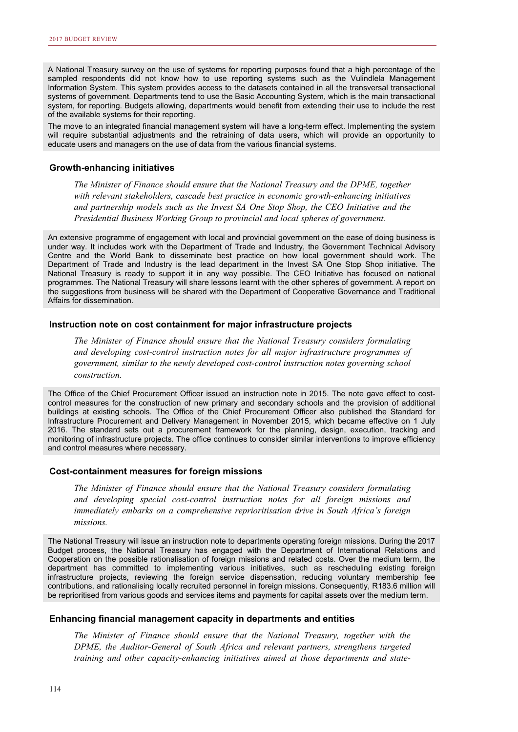A National Treasury survey on the use of systems for reporting purposes found that a high percentage of the sampled respondents did not know how to use reporting systems such as the Vulindlela Management Information System. This system provides access to the datasets contained in all the transversal transactional systems of government. Departments tend to use the Basic Accounting System, which is the main transactional system, for reporting. Budgets allowing, departments would benefit from extending their use to include the rest of the available systems for their reporting.

The move to an integrated financial management system will have a long-term effect. Implementing the system will require substantial adjustments and the retraining of data users, which will provide an opportunity to educate users and managers on the use of data from the various financial systems.

## **Growth-enhancing initiatives**

*The Minister of Finance should ensure that the National Treasury and the DPME, together with relevant stakeholders, cascade best practice in economic growth-enhancing initiatives and partnership models such as the Invest SA One Stop Shop, the CEO Initiative and the Presidential Business Working Group to provincial and local spheres of government.* 

An extensive programme of engagement with local and provincial government on the ease of doing business is under way. It includes work with the Department of Trade and Industry, the Government Technical Advisory Centre and the World Bank to disseminate best practice on how local government should work. The Department of Trade and Industry is the lead department in the Invest SA One Stop Shop initiative. The National Treasury is ready to support it in any way possible. The CEO Initiative has focused on national programmes. The National Treasury will share lessons learnt with the other spheres of government. A report on the suggestions from business will be shared with the Department of Cooperative Governance and Traditional Affairs for dissemination.

# **Instruction note on cost containment for major infrastructure projects**

*The Minister of Finance should ensure that the National Treasury considers formulating and developing cost-control instruction notes for all major infrastructure programmes of government, similar to the newly developed cost-control instruction notes governing school construction.* 

The Office of the Chief Procurement Officer issued an instruction note in 2015. The note gave effect to costcontrol measures for the construction of new primary and secondary schools and the provision of additional buildings at existing schools. The Office of the Chief Procurement Officer also published the Standard for Infrastructure Procurement and Delivery Management in November 2015, which became effective on 1 July 2016. The standard sets out a procurement framework for the planning, design, execution, tracking and monitoring of infrastructure projects. The office continues to consider similar interventions to improve efficiency and control measures where necessary.

# **Cost-containment measures for foreign missions**

*The Minister of Finance should ensure that the National Treasury considers formulating and developing special cost-control instruction notes for all foreign missions and immediately embarks on a comprehensive reprioritisation drive in South Africa's foreign missions.* 

The National Treasury will issue an instruction note to departments operating foreign missions. During the 2017 Budget process, the National Treasury has engaged with the Department of International Relations and Cooperation on the possible rationalisation of foreign missions and related costs. Over the medium term, the department has committed to implementing various initiatives, such as rescheduling existing foreign infrastructure projects, reviewing the foreign service dispensation, reducing voluntary membership fee contributions, and rationalising locally recruited personnel in foreign missions. Consequently, R183.6 million will be reprioritised from various goods and services items and payments for capital assets over the medium term.

# **Enhancing financial management capacity in departments and entities**

*The Minister of Finance should ensure that the National Treasury, together with the DPME, the Auditor-General of South Africa and relevant partners, strengthens targeted training and other capacity-enhancing initiatives aimed at those departments and state-*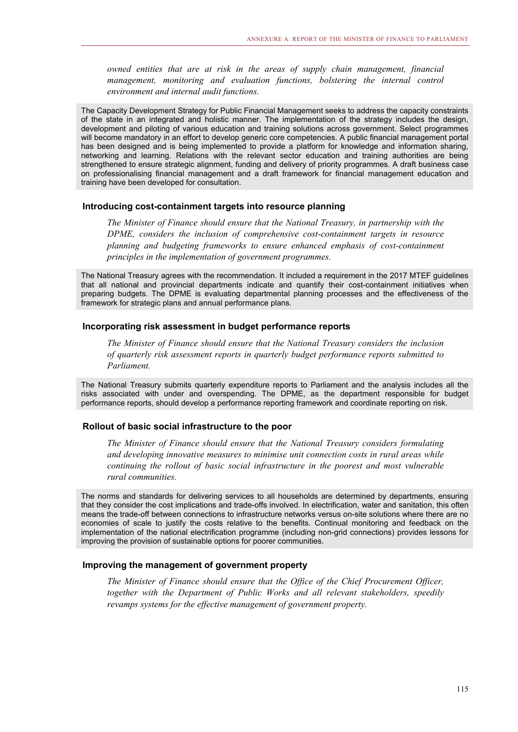*owned entities that are at risk in the areas of supply chain management, financial management, monitoring and evaluation functions, bolstering the internal control environment and internal audit functions.* 

The Capacity Development Strategy for Public Financial Management seeks to address the capacity constraints of the state in an integrated and holistic manner. The implementation of the strategy includes the design, development and piloting of various education and training solutions across government. Select programmes will become mandatory in an effort to develop generic core competencies. A public financial management portal has been designed and is being implemented to provide a platform for knowledge and information sharing, networking and learning. Relations with the relevant sector education and training authorities are being strengthened to ensure strategic alignment, funding and delivery of priority programmes. A draft business case on professionalising financial management and a draft framework for financial management education and training have been developed for consultation.

# **Introducing cost-containment targets into resource planning**

*The Minister of Finance should ensure that the National Treasury, in partnership with the DPME, considers the inclusion of comprehensive cost-containment targets in resource planning and budgeting frameworks to ensure enhanced emphasis of cost-containment principles in the implementation of government programmes.* 

The National Treasury agrees with the recommendation. It included a requirement in the 2017 MTEF guidelines that all national and provincial departments indicate and quantify their cost-containment initiatives when preparing budgets. The DPME is evaluating departmental planning processes and the effectiveness of the framework for strategic plans and annual performance plans.

# **Incorporating risk assessment in budget performance reports**

*The Minister of Finance should ensure that the National Treasury considers the inclusion of quarterly risk assessment reports in quarterly budget performance reports submitted to Parliament.* 

The National Treasury submits quarterly expenditure reports to Parliament and the analysis includes all the risks associated with under and overspending. The DPME, as the department responsible for budget performance reports, should develop a performance reporting framework and coordinate reporting on risk.

# **Rollout of basic social infrastructure to the poor**

*The Minister of Finance should ensure that the National Treasury considers formulating and developing innovative measures to minimise unit connection costs in rural areas while continuing the rollout of basic social infrastructure in the poorest and most vulnerable rural communities.* 

The norms and standards for delivering services to all households are determined by departments, ensuring that they consider the cost implications and trade-offs involved. In electrification, water and sanitation, this often means the trade-off between connections to infrastructure networks versus on-site solutions where there are no economies of scale to justify the costs relative to the benefits. Continual monitoring and feedback on the implementation of the national electrification programme (including non-grid connections) provides lessons for improving the provision of sustainable options for poorer communities.

# **Improving the management of government property**

*The Minister of Finance should ensure that the Office of the Chief Procurement Officer, together with the Department of Public Works and all relevant stakeholders, speedily revamps systems for the effective management of government property.*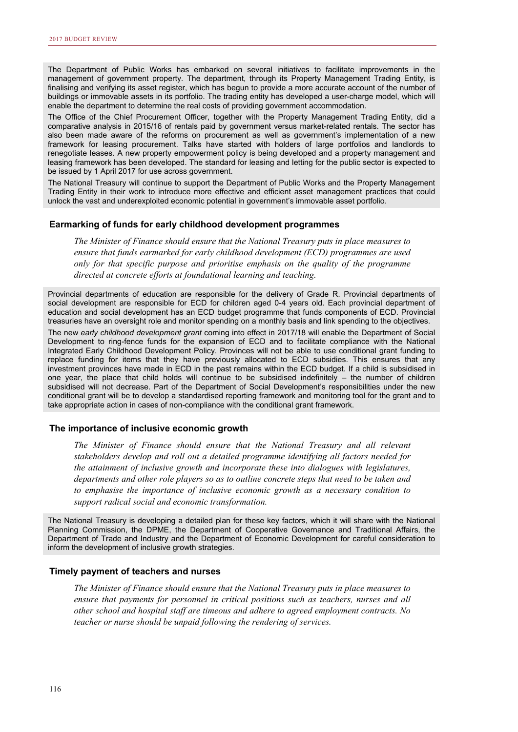The Department of Public Works has embarked on several initiatives to facilitate improvements in the management of government property. The department, through its Property Management Trading Entity, is finalising and verifying its asset register, which has begun to provide a more accurate account of the number of buildings or immovable assets in its portfolio. The trading entity has developed a user-charge model, which will enable the department to determine the real costs of providing government accommodation.

The Office of the Chief Procurement Officer, together with the Property Management Trading Entity, did a comparative analysis in 2015/16 of rentals paid by government versus market-related rentals. The sector has also been made aware of the reforms on procurement as well as government's implementation of a new framework for leasing procurement. Talks have started with holders of large portfolios and landlords to renegotiate leases. A new property empowerment policy is being developed and a property management and leasing framework has been developed. The standard for leasing and letting for the public sector is expected to be issued by 1 April 2017 for use across government.

The National Treasury will continue to support the Department of Public Works and the Property Management Trading Entity in their work to introduce more effective and efficient asset management practices that could unlock the vast and underexploited economic potential in government's immovable asset portfolio.

# **Earmarking of funds for early childhood development programmes**

*The Minister of Finance should ensure that the National Treasury puts in place measures to ensure that funds earmarked for early childhood development (ECD) programmes are used only for that specific purpose and prioritise emphasis on the quality of the programme directed at concrete efforts at foundational learning and teaching.* 

Provincial departments of education are responsible for the delivery of Grade R. Provincial departments of social development are responsible for ECD for children aged 0-4 years old. Each provincial department of education and social development has an ECD budget programme that funds components of ECD. Provincial treasuries have an oversight role and monitor spending on a monthly basis and link spending to the objectives.

The new *early childhood development grant* coming into effect in 2017/18 will enable the Department of Social Development to ring-fence funds for the expansion of ECD and to facilitate compliance with the National Integrated Early Childhood Development Policy. Provinces will not be able to use conditional grant funding to replace funding for items that they have previously allocated to ECD subsidies. This ensures that any investment provinces have made in ECD in the past remains within the ECD budget. If a child is subsidised in one year, the place that child holds will continue to be subsidised indefinitely – the number of children subsidised will not decrease. Part of the Department of Social Development's responsibilities under the new conditional grant will be to develop a standardised reporting framework and monitoring tool for the grant and to take appropriate action in cases of non-compliance with the conditional grant framework.

## **The importance of inclusive economic growth**

*The Minister of Finance should ensure that the National Treasury and all relevant stakeholders develop and roll out a detailed programme identifying all factors needed for the attainment of inclusive growth and incorporate these into dialogues with legislatures, departments and other role players so as to outline concrete steps that need to be taken and to emphasise the importance of inclusive economic growth as a necessary condition to support radical social and economic transformation.*

The National Treasury is developing a detailed plan for these key factors, which it will share with the National Planning Commission, the DPME, the Department of Cooperative Governance and Traditional Affairs, the Department of Trade and Industry and the Department of Economic Development for careful consideration to inform the development of inclusive growth strategies.

# **Timely payment of teachers and nurses**

*The Minister of Finance should ensure that the National Treasury puts in place measures to ensure that payments for personnel in critical positions such as teachers, nurses and all other school and hospital staff are timeous and adhere to agreed employment contracts. No teacher or nurse should be unpaid following the rendering of services.*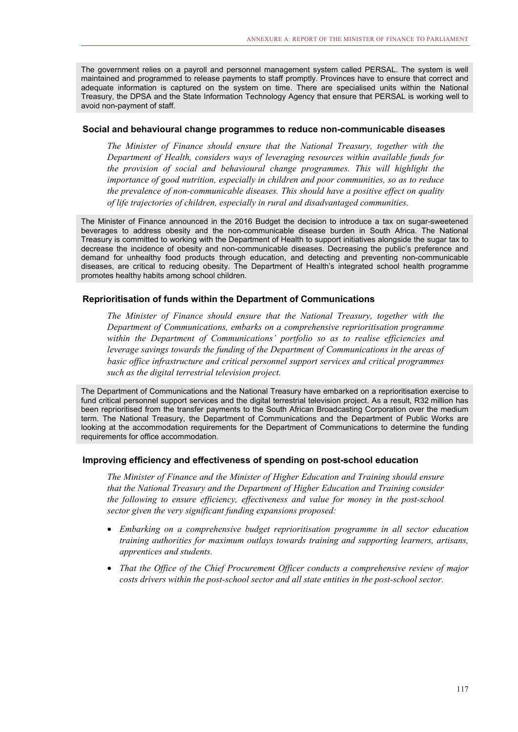The government relies on a payroll and personnel management system called PERSAL. The system is well maintained and programmed to release payments to staff promptly. Provinces have to ensure that correct and adequate information is captured on the system on time. There are specialised units within the National Treasury, the DPSA and the State Information Technology Agency that ensure that PERSAL is working well to avoid non-payment of staff.

# **Social and behavioural change programmes to reduce non-communicable diseases**

*The Minister of Finance should ensure that the National Treasury, together with the Department of Health, considers ways of leveraging resources within available funds for the provision of social and behavioural change programmes. This will highlight the importance of good nutrition, especially in children and poor communities, so as to reduce the prevalence of non-communicable diseases. This should have a positive effect on quality of life trajectories of children, especially in rural and disadvantaged communities.*

The Minister of Finance announced in the 2016 Budget the decision to introduce a tax on sugar-sweetened beverages to address obesity and the non-communicable disease burden in South Africa. The National Treasury is committed to working with the Department of Health to support initiatives alongside the sugar tax to decrease the incidence of obesity and non-communicable diseases. Decreasing the public's preference and demand for unhealthy food products through education, and detecting and preventing non-communicable diseases, are critical to reducing obesity. The Department of Health's integrated school health programme promotes healthy habits among school children.

# **Reprioritisation of funds within the Department of Communications**

*The Minister of Finance should ensure that the National Treasury, together with the Department of Communications, embarks on a comprehensive reprioritisation programme within the Department of Communications' portfolio so as to realise efficiencies and leverage savings towards the funding of the Department of Communications in the areas of basic office infrastructure and critical personnel support services and critical programmes such as the digital terrestrial television project.* 

The Department of Communications and the National Treasury have embarked on a reprioritisation exercise to fund critical personnel support services and the digital terrestrial television project. As a result, R32 million has been reprioritised from the transfer payments to the South African Broadcasting Corporation over the medium term. The National Treasury, the Department of Communications and the Department of Public Works are looking at the accommodation requirements for the Department of Communications to determine the funding requirements for office accommodation.

# **Improving efficiency and effectiveness of spending on post-school education**

*The Minister of Finance and the Minister of Higher Education and Training should ensure that the National Treasury and the Department of Higher Education and Training consider the following to ensure efficiency, effectiveness and value for money in the post-school sector given the very significant funding expansions proposed:* 

- *Embarking on a comprehensive budget reprioritisation programme in all sector education training authorities for maximum outlays towards training and supporting learners, artisans, apprentices and students.*
- *That the Office of the Chief Procurement Officer conducts a comprehensive review of major costs drivers within the post-school sector and all state entities in the post-school sector.*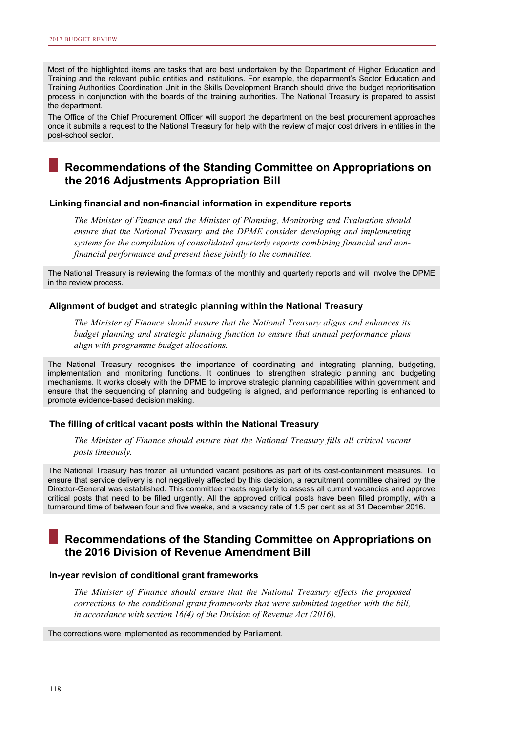Most of the highlighted items are tasks that are best undertaken by the Department of Higher Education and Training and the relevant public entities and institutions. For example, the department's Sector Education and Training Authorities Coordination Unit in the Skills Development Branch should drive the budget reprioritisation process in conjunction with the boards of the training authorities. The National Treasury is prepared to assist the department.

The Office of the Chief Procurement Officer will support the department on the best procurement approaches once it submits a request to the National Treasury for help with the review of major cost drivers in entities in the post-school sector.

# **Recommendations of the Standing Committee on Appropriations on the 2016 Adjustments Appropriation Bill**

# **Linking financial and non-financial information in expenditure reports**

*The Minister of Finance and the Minister of Planning, Monitoring and Evaluation should ensure that the National Treasury and the DPME consider developing and implementing systems for the compilation of consolidated quarterly reports combining financial and nonfinancial performance and present these jointly to the committee.* 

The National Treasury is reviewing the formats of the monthly and quarterly reports and will involve the DPME in the review process.

# **Alignment of budget and strategic planning within the National Treasury**

*The Minister of Finance should ensure that the National Treasury aligns and enhances its budget planning and strategic planning function to ensure that annual performance plans align with programme budget allocations.*

The National Treasury recognises the importance of coordinating and integrating planning, budgeting, implementation and monitoring functions. It continues to strengthen strategic planning and budgeting mechanisms. It works closely with the DPME to improve strategic planning capabilities within government and ensure that the sequencing of planning and budgeting is aligned, and performance reporting is enhanced to promote evidence-based decision making.

# **The filling of critical vacant posts within the National Treasury**

*The Minister of Finance should ensure that the National Treasury fills all critical vacant posts timeously.*

The National Treasury has frozen all unfunded vacant positions as part of its cost-containment measures. To ensure that service delivery is not negatively affected by this decision, a recruitment committee chaired by the Director-General was established. This committee meets regularly to assess all current vacancies and approve critical posts that need to be filled urgently. All the approved critical posts have been filled promptly, with a turnaround time of between four and five weeks, and a vacancy rate of 1.5 per cent as at 31 December 2016.

# **Recommendations of the Standing Committee on Appropriations on the 2016 Division of Revenue Amendment Bill**

# **In-year revision of conditional grant frameworks**

*The Minister of Finance should ensure that the National Treasury effects the proposed corrections to the conditional grant frameworks that were submitted together with the bill, in accordance with section 16(4) of the Division of Revenue Act (2016).* 

The corrections were implemented as recommended by Parliament.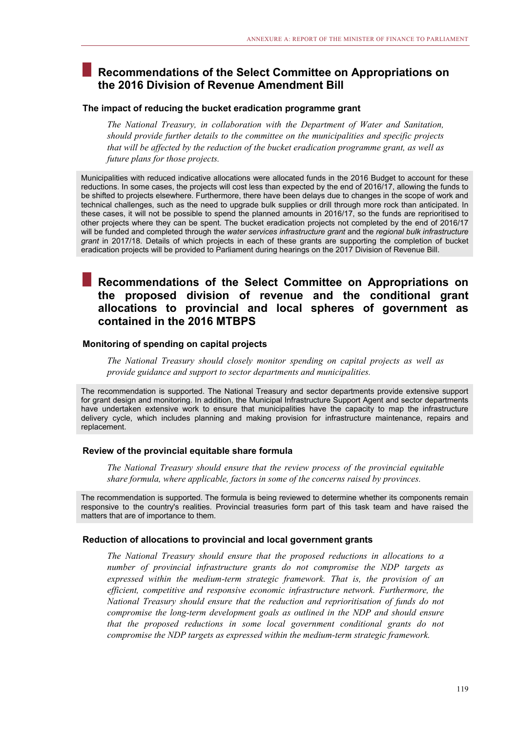# **Recommendations of the Select Committee on Appropriations on the 2016 Division of Revenue Amendment Bill**

# **The impact of reducing the bucket eradication programme grant**

*The National Treasury, in collaboration with the Department of Water and Sanitation, should provide further details to the committee on the municipalities and specific projects that will be affected by the reduction of the bucket eradication programme grant, as well as future plans for those projects.* 

Municipalities with reduced indicative allocations were allocated funds in the 2016 Budget to account for these reductions. In some cases, the projects will cost less than expected by the end of 2016/17, allowing the funds to be shifted to projects elsewhere. Furthermore, there have been delays due to changes in the scope of work and technical challenges, such as the need to upgrade bulk supplies or drill through more rock than anticipated. In these cases, it will not be possible to spend the planned amounts in 2016/17, so the funds are reprioritised to other projects where they can be spent. The bucket eradication projects not completed by the end of 2016/17 will be funded and completed through the *water services infrastructure grant* and the *regional bulk infrastructure grant* in 2017/18. Details of which projects in each of these grants are supporting the completion of bucket eradication projects will be provided to Parliament during hearings on the 2017 Division of Revenue Bill.

# **Recommendations of the Select Committee on Appropriations on the proposed division of revenue and the conditional grant allocations to provincial and local spheres of government as contained in the 2016 MTBPS**

# **Monitoring of spending on capital projects**

*The National Treasury should closely monitor spending on capital projects as well as provide guidance and support to sector departments and municipalities.* 

The recommendation is supported. The National Treasury and sector departments provide extensive support for grant design and monitoring. In addition, the Municipal Infrastructure Support Agent and sector departments have undertaken extensive work to ensure that municipalities have the capacity to map the infrastructure delivery cycle, which includes planning and making provision for infrastructure maintenance, repairs and replacement.

# **Review of the provincial equitable share formula**

*The National Treasury should ensure that the review process of the provincial equitable share formula, where applicable, factors in some of the concerns raised by provinces.* 

The recommendation is supported. The formula is being reviewed to determine whether its components remain responsive to the country's realities. Provincial treasuries form part of this task team and have raised the matters that are of importance to them.

# **Reduction of allocations to provincial and local government grants**

*The National Treasury should ensure that the proposed reductions in allocations to a number of provincial infrastructure grants do not compromise the NDP targets as expressed within the medium-term strategic framework. That is, the provision of an efficient, competitive and responsive economic infrastructure network. Furthermore, the National Treasury should ensure that the reduction and reprioritisation of funds do not compromise the long-term development goals as outlined in the NDP and should ensure that the proposed reductions in some local government conditional grants do not compromise the NDP targets as expressed within the medium-term strategic framework.*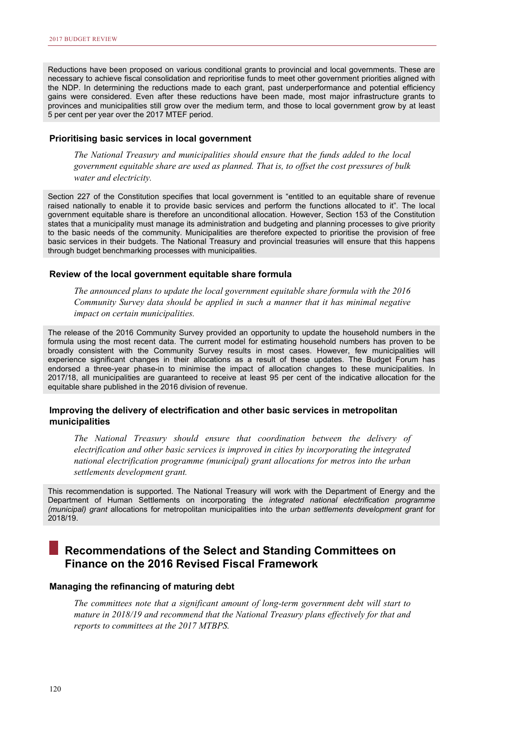Reductions have been proposed on various conditional grants to provincial and local governments. These are necessary to achieve fiscal consolidation and reprioritise funds to meet other government priorities aligned with the NDP. In determining the reductions made to each grant, past underperformance and potential efficiency gains were considered. Even after these reductions have been made, most major infrastructure grants to provinces and municipalities still grow over the medium term, and those to local government grow by at least 5 per cent per year over the 2017 MTEF period.

# **Prioritising basic services in local government**

*The National Treasury and municipalities should ensure that the funds added to the local government equitable share are used as planned. That is, to offset the cost pressures of bulk water and electricity.*

Section 227 of the Constitution specifies that local government is "entitled to an equitable share of revenue raised nationally to enable it to provide basic services and perform the functions allocated to it". The local government equitable share is therefore an unconditional allocation. However, Section 153 of the Constitution states that a municipality must manage its administration and budgeting and planning processes to give priority to the basic needs of the community. Municipalities are therefore expected to prioritise the provision of free basic services in their budgets. The National Treasury and provincial treasuries will ensure that this happens through budget benchmarking processes with municipalities.

# **Review of the local government equitable share formula**

*The announced plans to update the local government equitable share formula with the 2016 Community Survey data should be applied in such a manner that it has minimal negative impact on certain municipalities.*

The release of the 2016 Community Survey provided an opportunity to update the household numbers in the formula using the most recent data. The current model for estimating household numbers has proven to be broadly consistent with the Community Survey results in most cases. However, few municipalities will experience significant changes in their allocations as a result of these updates. The Budget Forum has endorsed a three-year phase-in to minimise the impact of allocation changes to these municipalities. In 2017/18, all municipalities are guaranteed to receive at least 95 per cent of the indicative allocation for the equitable share published in the 2016 division of revenue.

# **Improving the delivery of electrification and other basic services in metropolitan municipalities**

*The National Treasury should ensure that coordination between the delivery of electrification and other basic services is improved in cities by incorporating the integrated national electrification programme (municipal) grant allocations for metros into the urban settlements development grant.*

This recommendation is supported. The National Treasury will work with the Department of Energy and the Department of Human Settlements on incorporating the *integrated national electrification programme (municipal) grant* allocations for metropolitan municipalities into the *urban settlements development grant* for 2018/19.

# **Recommendations of the Select and Standing Committees on Finance on the 2016 Revised Fiscal Framework**

# **Managing the refinancing of maturing debt**

*The committees note that a significant amount of long-term government debt will start to mature in 2018/19 and recommend that the National Treasury plans effectively for that and reports to committees at the 2017 MTBPS.*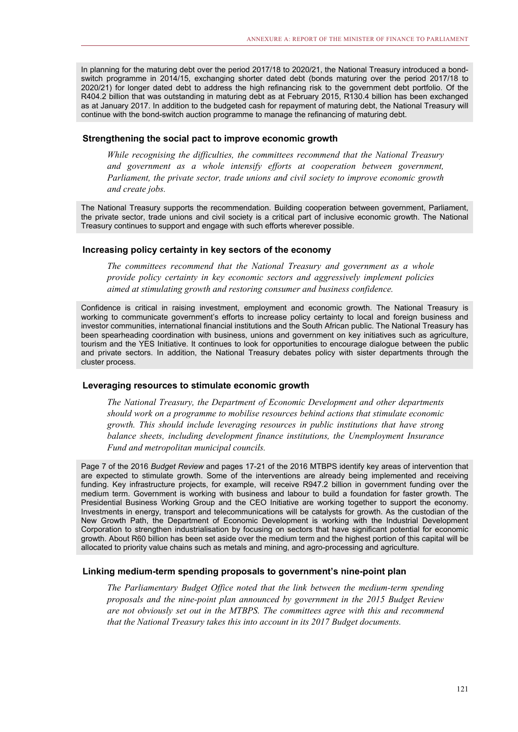In planning for the maturing debt over the period 2017/18 to 2020/21, the National Treasury introduced a bondswitch programme in 2014/15, exchanging shorter dated debt (bonds maturing over the period 2017/18 to 2020/21) for longer dated debt to address the high refinancing risk to the government debt portfolio. Of the R404.2 billion that was outstanding in maturing debt as at February 2015, R130.4 billion has been exchanged as at January 2017. In addition to the budgeted cash for repayment of maturing debt, the National Treasury will continue with the bond-switch auction programme to manage the refinancing of maturing debt.

# **Strengthening the social pact to improve economic growth**

*While recognising the difficulties, the committees recommend that the National Treasury and government as a whole intensify efforts at cooperation between government, Parliament, the private sector, trade unions and civil society to improve economic growth and create jobs.* 

The National Treasury supports the recommendation. Building cooperation between government, Parliament, the private sector, trade unions and civil society is a critical part of inclusive economic growth. The National Treasury continues to support and engage with such efforts wherever possible.

# **Increasing policy certainty in key sectors of the economy**

*The committees recommend that the National Treasury and government as a whole provide policy certainty in key economic sectors and aggressively implement policies aimed at stimulating growth and restoring consumer and business confidence.*

Confidence is critical in raising investment, employment and economic growth. The National Treasury is working to communicate government's efforts to increase policy certainty to local and foreign business and investor communities, international financial institutions and the South African public. The National Treasury has been spearheading coordination with business, unions and government on key initiatives such as agriculture, tourism and the YES Initiative. It continues to look for opportunities to encourage dialogue between the public and private sectors. In addition, the National Treasury debates policy with sister departments through the cluster process.

# **Leveraging resources to stimulate economic growth**

*The National Treasury, the Department of Economic Development and other departments should work on a programme to mobilise resources behind actions that stimulate economic growth. This should include leveraging resources in public institutions that have strong balance sheets, including development finance institutions, the Unemployment Insurance Fund and metropolitan municipal councils.*

Page 7 of the 2016 *Budget Review* and pages 17-21 of the 2016 MTBPS identify key areas of intervention that are expected to stimulate growth. Some of the interventions are already being implemented and receiving funding. Key infrastructure projects, for example, will receive R947.2 billion in government funding over the medium term. Government is working with business and labour to build a foundation for faster growth. The Presidential Business Working Group and the CEO Initiative are working together to support the economy. Investments in energy, transport and telecommunications will be catalysts for growth. As the custodian of the New Growth Path, the Department of Economic Development is working with the Industrial Development Corporation to strengthen industrialisation by focusing on sectors that have significant potential for economic growth. About R60 billion has been set aside over the medium term and the highest portion of this capital will be allocated to priority value chains such as metals and mining, and agro-processing and agriculture.

# **Linking medium-term spending proposals to government's nine-point plan**

*The Parliamentary Budget Office noted that the link between the medium-term spending proposals and the nine-point plan announced by government in the 2015 Budget Review are not obviously set out in the MTBPS. The committees agree with this and recommend that the National Treasury takes this into account in its 2017 Budget documents.*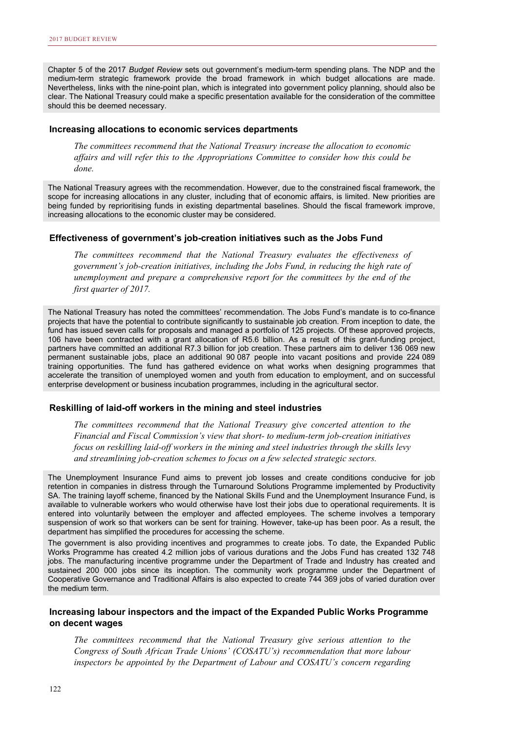Chapter 5 of the 2017 *Budget Review* sets out government's medium-term spending plans. The NDP and the medium-term strategic framework provide the broad framework in which budget allocations are made. Nevertheless, links with the nine-point plan, which is integrated into government policy planning, should also be clear. The National Treasury could make a specific presentation available for the consideration of the committee should this be deemed necessary.

# **Increasing allocations to economic services departments**

*The committees recommend that the National Treasury increase the allocation to economic affairs and will refer this to the Appropriations Committee to consider how this could be done.* 

The National Treasury agrees with the recommendation. However, due to the constrained fiscal framework, the scope for increasing allocations in any cluster, including that of economic affairs, is limited. New priorities are being funded by reprioritising funds in existing departmental baselines. Should the fiscal framework improve, increasing allocations to the economic cluster may be considered.

# **Effectiveness of government's job-creation initiatives such as the Jobs Fund**

*The committees recommend that the National Treasury evaluates the effectiveness of government's job-creation initiatives, including the Jobs Fund, in reducing the high rate of unemployment and prepare a comprehensive report for the committees by the end of the first quarter of 2017.*

The National Treasury has noted the committees' recommendation. The Jobs Fund's mandate is to co-finance projects that have the potential to contribute significantly to sustainable job creation. From inception to date, the fund has issued seven calls for proposals and managed a portfolio of 125 projects. Of these approved projects, 106 have been contracted with a grant allocation of R5.6 billion. As a result of this grant-funding project, partners have committed an additional R7.3 billion for job creation. These partners aim to deliver 136 069 new permanent sustainable jobs, place an additional 90 087 people into vacant positions and provide 224 089 training opportunities. The fund has gathered evidence on what works when designing programmes that accelerate the transition of unemployed women and youth from education to employment, and on successful enterprise development or business incubation programmes, including in the agricultural sector.

# **Reskilling of laid-off workers in the mining and steel industries**

*The committees recommend that the National Treasury give concerted attention to the Financial and Fiscal Commission's view that short- to medium-term job-creation initiatives focus on reskilling laid-off workers in the mining and steel industries through the skills levy and streamlining job-creation schemes to focus on a few selected strategic sectors.* 

The Unemployment Insurance Fund aims to prevent job losses and create conditions conducive for job retention in companies in distress through the Turnaround Solutions Programme implemented by Productivity SA. The training layoff scheme, financed by the National Skills Fund and the Unemployment Insurance Fund, is available to vulnerable workers who would otherwise have lost their jobs due to operational requirements. It is entered into voluntarily between the employer and affected employees. The scheme involves a temporary suspension of work so that workers can be sent for training. However, take-up has been poor. As a result, the department has simplified the procedures for accessing the scheme.

The government is also providing incentives and programmes to create jobs. To date, the Expanded Public Works Programme has created 4.2 million jobs of various durations and the Jobs Fund has created 132 748 jobs. The manufacturing incentive programme under the Department of Trade and Industry has created and sustained 200 000 jobs since its inception. The community work programme under the Department of Cooperative Governance and Traditional Affairs is also expected to create 744 369 jobs of varied duration over the medium term.

# **Increasing labour inspectors and the impact of the Expanded Public Works Programme on decent wages**

*The committees recommend that the National Treasury give serious attention to the Congress of South African Trade Unions' (COSATU's) recommendation that more labour inspectors be appointed by the Department of Labour and COSATU's concern regarding*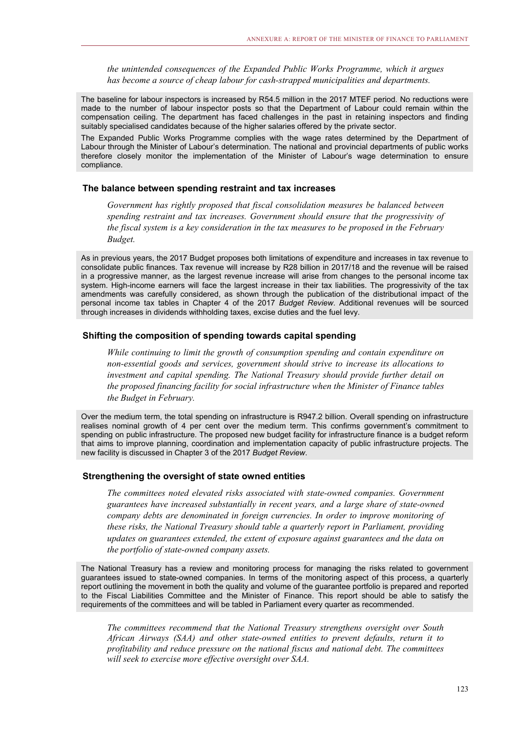*the unintended consequences of the Expanded Public Works Programme, which it argues has become a source of cheap labour for cash-strapped municipalities and departments.*

The baseline for labour inspectors is increased by R54.5 million in the 2017 MTEF period. No reductions were made to the number of labour inspector posts so that the Department of Labour could remain within the compensation ceiling. The department has faced challenges in the past in retaining inspectors and finding suitably specialised candidates because of the higher salaries offered by the private sector.

The Expanded Public Works Programme complies with the wage rates determined by the Department of Labour through the Minister of Labour's determination. The national and provincial departments of public works therefore closely monitor the implementation of the Minister of Labour's wage determination to ensure compliance.

# **The balance between spending restraint and tax increases**

*Government has rightly proposed that fiscal consolidation measures be balanced between spending restraint and tax increases. Government should ensure that the progressivity of the fiscal system is a key consideration in the tax measures to be proposed in the February Budget.* 

As in previous years, the 2017 Budget proposes both limitations of expenditure and increases in tax revenue to consolidate public finances. Tax revenue will increase by R28 billion in 2017/18 and the revenue will be raised in a progressive manner, as the largest revenue increase will arise from changes to the personal income tax system. High-income earners will face the largest increase in their tax liabilities. The progressivity of the tax amendments was carefully considered, as shown through the publication of the distributional impact of the personal income tax tables in Chapter 4 of the 2017 *Budget Review*. Additional revenues will be sourced through increases in dividends withholding taxes, excise duties and the fuel levy.

# **Shifting the composition of spending towards capital spending**

*While continuing to limit the growth of consumption spending and contain expenditure on non-essential goods and services, government should strive to increase its allocations to investment and capital spending. The National Treasury should provide further detail on the proposed financing facility for social infrastructure when the Minister of Finance tables the Budget in February.* 

Over the medium term, the total spending on infrastructure is R947.2 billion. Overall spending on infrastructure realises nominal growth of 4 per cent over the medium term. This confirms government's commitment to spending on public infrastructure. The proposed new budget facility for infrastructure finance is a budget reform that aims to improve planning, coordination and implementation capacity of public infrastructure projects. The new facility is discussed in Chapter 3 of the 2017 *Budget Review*.

### **Strengthening the oversight of state owned entities**

*The committees noted elevated risks associated with state-owned companies. Government guarantees have increased substantially in recent years, and a large share of state-owned company debts are denominated in foreign currencies. In order to improve monitoring of these risks, the National Treasury should table a quarterly report in Parliament, providing updates on guarantees extended, the extent of exposure against guarantees and the data on the portfolio of state-owned company assets.*

The National Treasury has a review and monitoring process for managing the risks related to government guarantees issued to state-owned companies. In terms of the monitoring aspect of this process, a quarterly report outlining the movement in both the quality and volume of the guarantee portfolio is prepared and reported to the Fiscal Liabilities Committee and the Minister of Finance. This report should be able to satisfy the requirements of the committees and will be tabled in Parliament every quarter as recommended.

*The committees recommend that the National Treasury strengthens oversight over South African Airways (SAA) and other state-owned entities to prevent defaults, return it to profitability and reduce pressure on the national fiscus and national debt. The committees will seek to exercise more effective oversight over SAA.*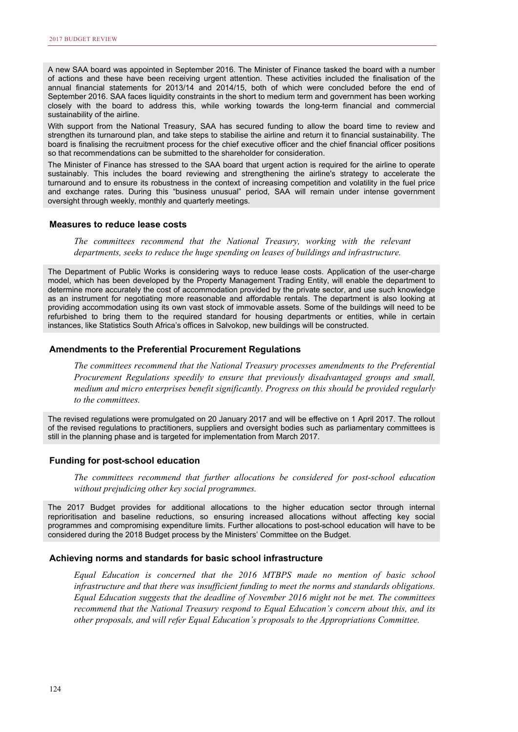A new SAA board was appointed in September 2016. The Minister of Finance tasked the board with a number of actions and these have been receiving urgent attention. These activities included the finalisation of the annual financial statements for 2013/14 and 2014/15, both of which were concluded before the end of September 2016. SAA faces liquidity constraints in the short to medium term and government has been working closely with the board to address this, while working towards the long-term financial and commercial sustainability of the airline.

With support from the National Treasury, SAA has secured funding to allow the board time to review and strengthen its turnaround plan, and take steps to stabilise the airline and return it to financial sustainability. The board is finalising the recruitment process for the chief executive officer and the chief financial officer positions so that recommendations can be submitted to the shareholder for consideration.

The Minister of Finance has stressed to the SAA board that urgent action is required for the airline to operate sustainably. This includes the board reviewing and strengthening the airline's strategy to accelerate the turnaround and to ensure its robustness in the context of increasing competition and volatility in the fuel price and exchange rates. During this "business unusual" period, SAA will remain under intense government oversight through weekly, monthly and quarterly meetings.

# **Measures to reduce lease costs**

*The committees recommend that the National Treasury, working with the relevant departments, seeks to reduce the huge spending on leases of buildings and infrastructure.* 

The Department of Public Works is considering ways to reduce lease costs. Application of the user-charge model, which has been developed by the Property Management Trading Entity, will enable the department to determine more accurately the cost of accommodation provided by the private sector, and use such knowledge as an instrument for negotiating more reasonable and affordable rentals. The department is also looking at providing accommodation using its own vast stock of immovable assets. Some of the buildings will need to be refurbished to bring them to the required standard for housing departments or entities, while in certain instances, like Statistics South Africa's offices in Salvokop, new buildings will be constructed.

### **Amendments to the Preferential Procurement Regulations**

*The committees recommend that the National Treasury processes amendments to the Preferential Procurement Regulations speedily to ensure that previously disadvantaged groups and small, medium and micro enterprises benefit significantly. Progress on this should be provided regularly to the committees.* 

The revised regulations were promulgated on 20 January 2017 and will be effective on 1 April 2017. The rollout of the revised regulations to practitioners, suppliers and oversight bodies such as parliamentary committees is still in the planning phase and is targeted for implementation from March 2017.

# **Funding for post-school education**

*The committees recommend that further allocations be considered for post-school education without prejudicing other key social programmes.* 

The 2017 Budget provides for additional allocations to the higher education sector through internal reprioritisation and baseline reductions, so ensuring increased allocations without affecting key social programmes and compromising expenditure limits. Further allocations to post-school education will have to be considered during the 2018 Budget process by the Ministers' Committee on the Budget.

### **Achieving norms and standards for basic school infrastructure**

*Equal Education is concerned that the 2016 MTBPS made no mention of basic school infrastructure and that there was insufficient funding to meet the norms and standards obligations. Equal Education suggests that the deadline of November 2016 might not be met. The committees recommend that the National Treasury respond to Equal Education's concern about this, and its other proposals, and will refer Equal Education's proposals to the Appropriations Committee.*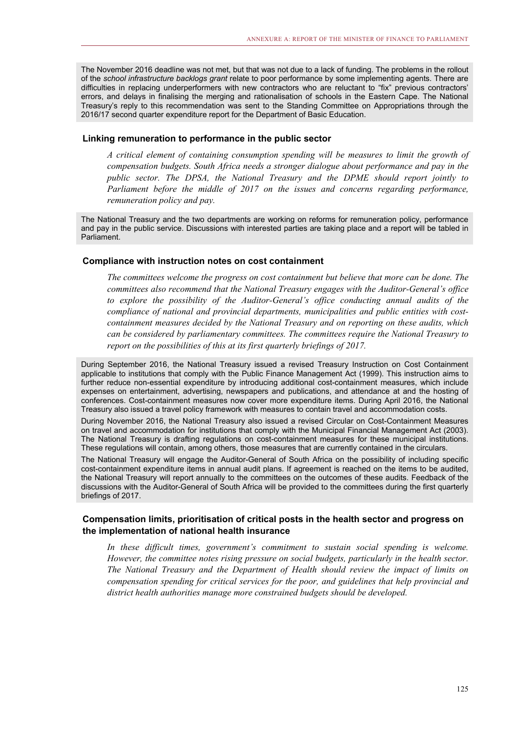The November 2016 deadline was not met, but that was not due to a lack of funding. The problems in the rollout of the *school infrastructure backlogs grant* relate to poor performance by some implementing agents. There are difficulties in replacing underperformers with new contractors who are reluctant to "fix" previous contractors' errors, and delays in finalising the merging and rationalisation of schools in the Eastern Cape. The National Treasury's reply to this recommendation was sent to the Standing Committee on Appropriations through the 2016/17 second quarter expenditure report for the Department of Basic Education.

# **Linking remuneration to performance in the public sector**

*A critical element of containing consumption spending will be measures to limit the growth of compensation budgets. South Africa needs a stronger dialogue about performance and pay in the public sector. The DPSA, the National Treasury and the DPME should report jointly to Parliament before the middle of 2017 on the issues and concerns regarding performance, remuneration policy and pay.* 

The National Treasury and the two departments are working on reforms for remuneration policy, performance and pay in the public service. Discussions with interested parties are taking place and a report will be tabled in Parliament.

# **Compliance with instruction notes on cost containment**

*The committees welcome the progress on cost containment but believe that more can be done. The committees also recommend that the National Treasury engages with the Auditor-General's office to explore the possibility of the Auditor-General's office conducting annual audits of the compliance of national and provincial departments, municipalities and public entities with costcontainment measures decided by the National Treasury and on reporting on these audits, which can be considered by parliamentary committees. The committees require the National Treasury to report on the possibilities of this at its first quarterly briefings of 2017.*

During September 2016, the National Treasury issued a revised Treasury Instruction on Cost Containment applicable to institutions that comply with the Public Finance Management Act (1999). This instruction aims to further reduce non-essential expenditure by introducing additional cost-containment measures, which include expenses on entertainment, advertising, newspapers and publications, and attendance at and the hosting of conferences. Cost-containment measures now cover more expenditure items. During April 2016, the National Treasury also issued a travel policy framework with measures to contain travel and accommodation costs.

During November 2016, the National Treasury also issued a revised Circular on Cost-Containment Measures on travel and accommodation for institutions that comply with the Municipal Financial Management Act (2003). The National Treasury is drafting regulations on cost-containment measures for these municipal institutions. These regulations will contain, among others, those measures that are currently contained in the circulars.

The National Treasury will engage the Auditor-General of South Africa on the possibility of including specific cost-containment expenditure items in annual audit plans. If agreement is reached on the items to be audited, the National Treasury will report annually to the committees on the outcomes of these audits. Feedback of the discussions with the Auditor-General of South Africa will be provided to the committees during the first quarterly briefings of 2017.

# **Compensation limits, prioritisation of critical posts in the health sector and progress on the implementation of national health insurance**

In these difficult times, government's commitment to sustain social spending is welcome. *However, the committee notes rising pressure on social budgets, particularly in the health sector. The National Treasury and the Department of Health should review the impact of limits on compensation spending for critical services for the poor, and guidelines that help provincial and district health authorities manage more constrained budgets should be developed.*